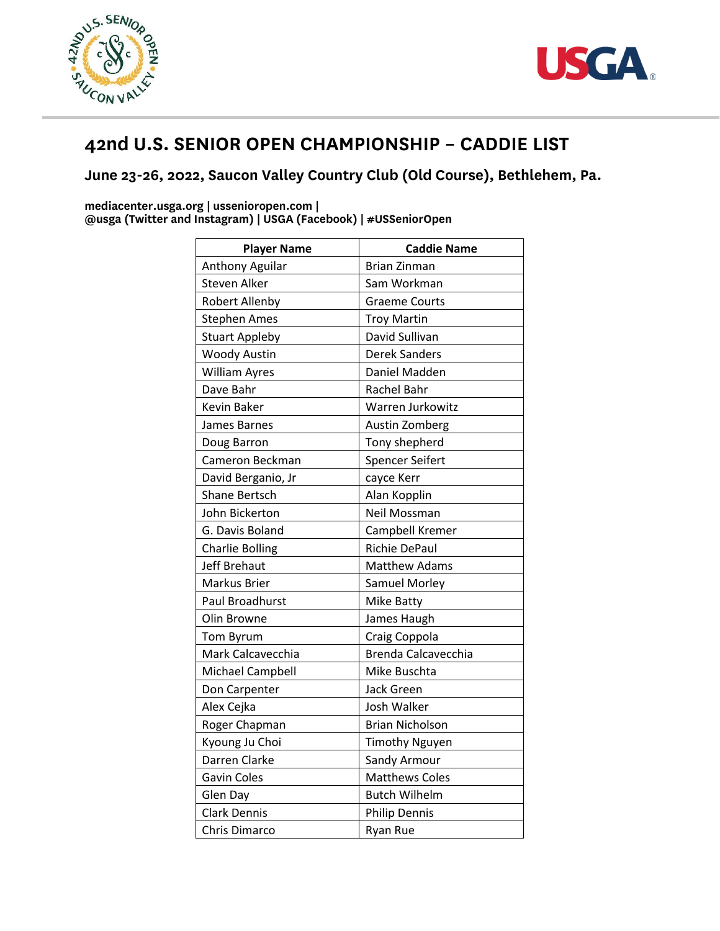



## **42nd U.S. SENIOR OPEN CHAMPIONSHIP – CADDIE LIST**

## **June 23-26, 2022, Saucon Valley Country Club (Old Course), Bethlehem, Pa.**

**mediacenter.usga.org | ussenioropen.com | @usga (Twitter and Instagram) | USGA (Facebook) | #USSeniorOpen**

| <b>Player Name</b>     | <b>Caddie Name</b>     |
|------------------------|------------------------|
| Anthony Aguilar        | <b>Brian Zinman</b>    |
| Steven Alker           | Sam Workman            |
| <b>Robert Allenby</b>  | <b>Graeme Courts</b>   |
| <b>Stephen Ames</b>    | <b>Troy Martin</b>     |
| <b>Stuart Appleby</b>  | David Sullivan         |
| <b>Woody Austin</b>    | <b>Derek Sanders</b>   |
| <b>William Ayres</b>   | Daniel Madden          |
| Dave Bahr              | Rachel Bahr            |
| Kevin Baker            | Warren Jurkowitz       |
| James Barnes           | Austin Zomberg         |
| Doug Barron            | Tony shepherd          |
| Cameron Beckman        | Spencer Seifert        |
| David Berganio, Jr     | cayce Kerr             |
| <b>Shane Bertsch</b>   | Alan Kopplin           |
| John Bickerton         | Neil Mossman           |
| G. Davis Boland        | Campbell Kremer        |
| <b>Charlie Bolling</b> | Richie DePaul          |
| Jeff Brehaut           | <b>Matthew Adams</b>   |
| Markus Brier           | <b>Samuel Morley</b>   |
| <b>Paul Broadhurst</b> | Mike Batty             |
| Olin Browne            | James Haugh            |
| Tom Byrum              | Craig Coppola          |
| Mark Calcavecchia      | Brenda Calcavecchia    |
| Michael Campbell       | Mike Buschta           |
| Don Carpenter          | <b>Jack Green</b>      |
| Alex Cejka             | Josh Walker            |
| Roger Chapman          | <b>Brian Nicholson</b> |
| Kyoung Ju Choi         | <b>Timothy Nguyen</b>  |
| Darren Clarke          | Sandy Armour           |
| <b>Gavin Coles</b>     | <b>Matthews Coles</b>  |
| Glen Day               | <b>Butch Wilhelm</b>   |
| <b>Clark Dennis</b>    | <b>Philip Dennis</b>   |
| Chris Dimarco          | <b>Ryan Rue</b>        |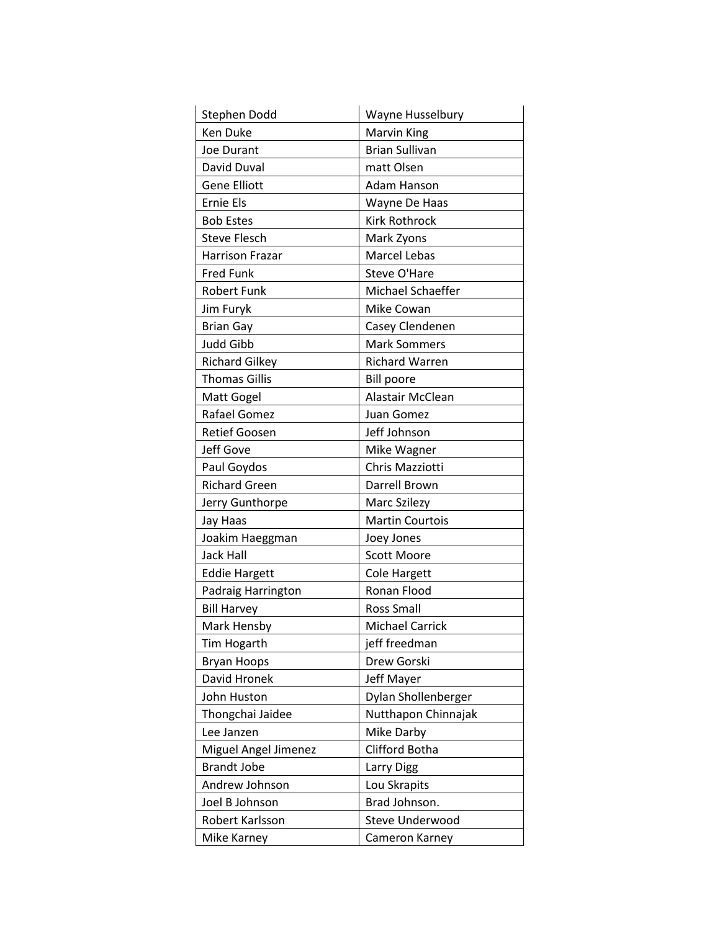| Stephen Dodd           | Wayne Husselbury       |
|------------------------|------------------------|
| <b>Ken Duke</b>        | <b>Marvin King</b>     |
| Joe Durant             | <b>Brian Sullivan</b>  |
| David Duval            | matt Olsen             |
| <b>Gene Elliott</b>    | <b>Adam Hanson</b>     |
| <b>Ernie Els</b>       | Wayne De Haas          |
| <b>Bob Estes</b>       | <b>Kirk Rothrock</b>   |
| <b>Steve Flesch</b>    | Mark Zyons             |
| <b>Harrison Frazar</b> | <b>Marcel Lebas</b>    |
| <b>Fred Funk</b>       | Steve O'Hare           |
| <b>Robert Funk</b>     | Michael Schaeffer      |
| Jim Furyk              | Mike Cowan             |
| <b>Brian Gay</b>       | Casey Clendenen        |
| <b>Judd Gibb</b>       | <b>Mark Sommers</b>    |
| <b>Richard Gilkey</b>  | <b>Richard Warren</b>  |
| <b>Thomas Gillis</b>   | <b>Bill poore</b>      |
| Matt Gogel             | Alastair McClean       |
| Rafael Gomez           | Juan Gomez             |
| <b>Retief Goosen</b>   | Jeff Johnson           |
| Jeff Gove              | Mike Wagner            |
| Paul Goydos            | Chris Mazziotti        |
| <b>Richard Green</b>   | Darrell Brown          |
| Jerry Gunthorpe        | Marc Szilezy           |
| Jay Haas               | <b>Martin Courtois</b> |
| Joakim Haeggman        | Joey Jones             |
| <b>Jack Hall</b>       | <b>Scott Moore</b>     |
| <b>Eddie Hargett</b>   | <b>Cole Hargett</b>    |
| Padraig Harrington     | Ronan Flood            |
| <b>Bill Harvey</b>     | <b>Ross Small</b>      |
| Mark Hensby            | <b>Michael Carrick</b> |
| <b>Tim Hogarth</b>     | jeff freedman          |
| <b>Bryan Hoops</b>     | Drew Gorski            |
| David Hronek           | Jeff Mayer             |
| John Huston            | Dylan Shollenberger    |
| Thongchai Jaidee       | Nutthapon Chinnajak    |
| Lee Janzen             | Mike Darby             |
| Miguel Angel Jimenez   | Clifford Botha         |
| <b>Brandt Jobe</b>     | Larry Digg             |
| Andrew Johnson         | Lou Skrapits           |
| Joel B Johnson         | Brad Johnson.          |
| Robert Karlsson        | Steve Underwood        |
| Mike Karney            | Cameron Karney         |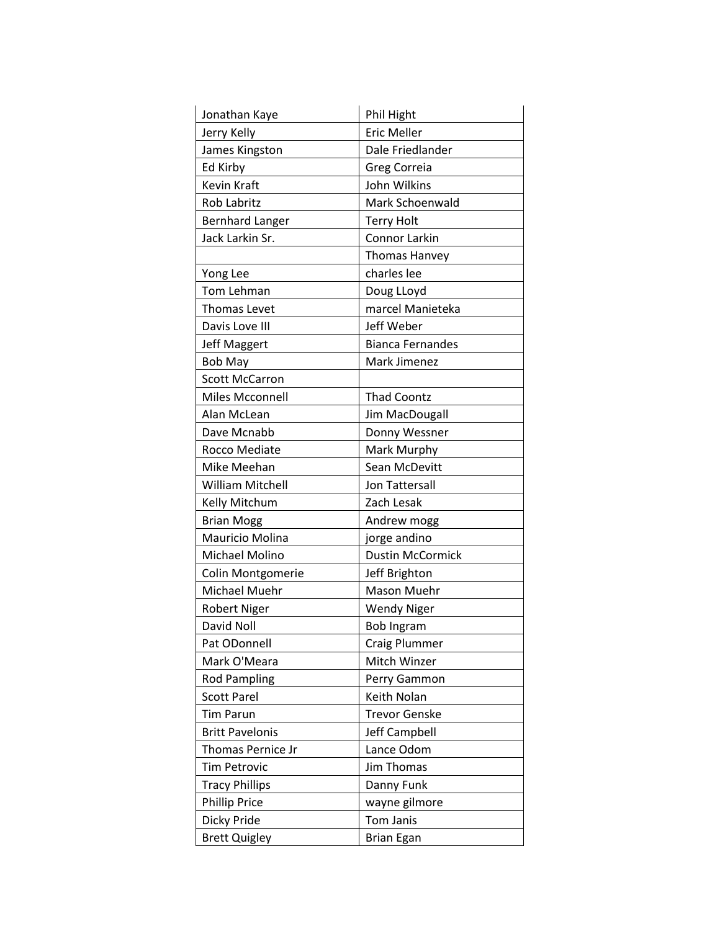| Jonathan Kaye          | Phil Hight              |
|------------------------|-------------------------|
| Jerry Kelly            | <b>Eric Meller</b>      |
| James Kingston         | Dale Friedlander        |
| Ed Kirby               | <b>Greg Correia</b>     |
| <b>Kevin Kraft</b>     | John Wilkins            |
| <b>Rob Labritz</b>     | Mark Schoenwald         |
| <b>Bernhard Langer</b> | <b>Terry Holt</b>       |
| Jack Larkin Sr.        | Connor Larkin           |
|                        | Thomas Hanvey           |
| Yong Lee               | charles lee             |
| Tom Lehman             | Doug LLoyd              |
| Thomas Levet           | marcel Manieteka        |
| Davis Love III         | Jeff Weber              |
| <b>Jeff Maggert</b>    | <b>Bianca Fernandes</b> |
| <b>Bob May</b>         | Mark Jimenez            |
| <b>Scott McCarron</b>  |                         |
| Miles Mcconnell        | <b>Thad Coontz</b>      |
| Alan McLean            | Jim MacDougall          |
| Dave Mcnabb            | Donny Wessner           |
| Rocco Mediate          | Mark Murphy             |
| Mike Meehan            | Sean McDevitt           |
| William Mitchell       | Jon Tattersall          |
| Kelly Mitchum          | Zach Lesak              |
| <b>Brian Mogg</b>      | Andrew mogg             |
| Mauricio Molina        | jorge andino            |
| Michael Molino         | <b>Dustin McCormick</b> |
| Colin Montgomerie      | Jeff Brighton           |
| Michael Muehr          | Mason Muehr             |
| <b>Robert Niger</b>    | <b>Wendy Niger</b>      |
| David Noll             | <b>Bob Ingram</b>       |
| Pat ODonnell           | Craig Plummer           |
| Mark O'Meara           | Mitch Winzer            |
| <b>Rod Pampling</b>    | Perry Gammon            |
| <b>Scott Parel</b>     | Keith Nolan             |
| <b>Tim Parun</b>       | <b>Trevor Genske</b>    |
| <b>Britt Pavelonis</b> | Jeff Campbell           |
| Thomas Pernice Jr      | Lance Odom              |
| <b>Tim Petrovic</b>    | <b>Jim Thomas</b>       |
| <b>Tracy Phillips</b>  | Danny Funk              |
| <b>Phillip Price</b>   | wayne gilmore           |
| Dicky Pride            | Tom Janis               |
| <b>Brett Quigley</b>   | <b>Brian Egan</b>       |